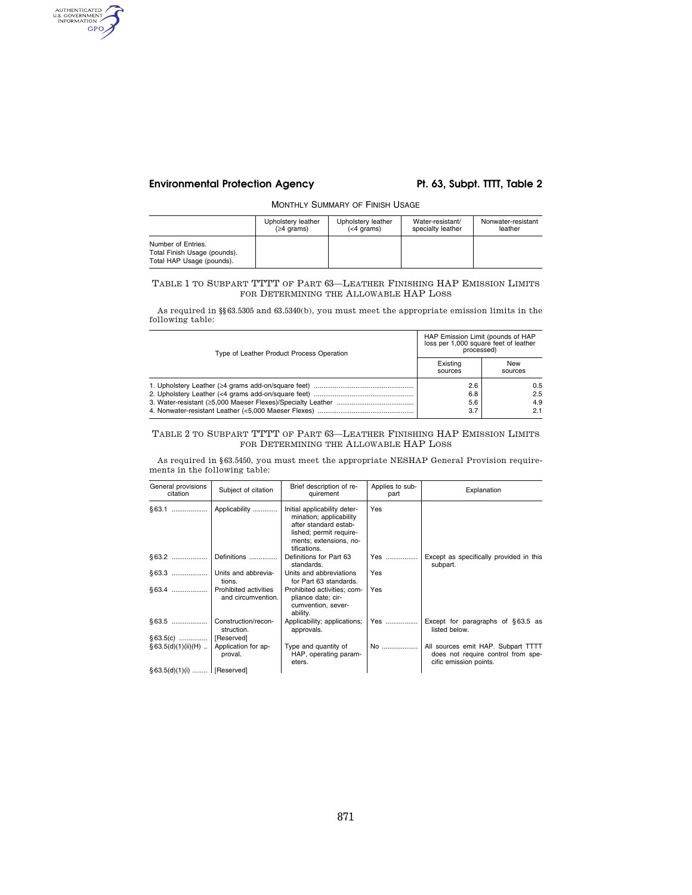# **Environmental Protection Agency Pt. 63, Subpt. TTTT, Table 2**

AUTHENTICATED GPO

MONTHLY SUMMARY OF FINISH USAGE

|                                                                                 | Upholstery leather | Upholstery leather | Water-resistant/  | Nonwater-resistant |
|---------------------------------------------------------------------------------|--------------------|--------------------|-------------------|--------------------|
|                                                                                 | $(≥4$ grams)       | $(<$ 4 grams)      | specialty leather | leather            |
| Number of Entries.<br>Total Finish Usage (pounds).<br>Total HAP Usage (pounds). |                    |                    |                   |                    |

## TABLE 1 TO SUBPART TTTT OF PART 63—LEATHER FINISHING HAP EMISSION LIMITS FOR DETERMINING THE ALLOWABLE HAP LOSS

As required in §§63.5305 and 63.5340(b), you must meet the appropriate emission limits in the following table:

| Type of Leather Product Process Operation | HAP Emission Limit (pounds of HAP<br>loss per 1,000 square feet of leather<br>processed) |                          |
|-------------------------------------------|------------------------------------------------------------------------------------------|--------------------------|
|                                           | Existina<br>sources                                                                      | New<br>sources           |
|                                           | 2.6<br>6.8<br>5.6<br>3.7                                                                 | 0.5<br>2.5<br>4.9<br>2.1 |

## TABLE 2 TO SUBPART TTTT OF PART 63—LEATHER FINISHING HAP EMISSION LIMITS FOR DETERMINING THE ALLOWABLE HAP LOSS

As required in §63.5450, you must meet the appropriate NESHAP General Provision requirements in the following table:

| General provisions<br>citation | Subject of citation                         | Brief description of re-<br>quirement                                                                                                                 | Applies to sub-<br>part | Explanation                                                                                        |
|--------------------------------|---------------------------------------------|-------------------------------------------------------------------------------------------------------------------------------------------------------|-------------------------|----------------------------------------------------------------------------------------------------|
|                                | Applicability                               | Initial applicability deter-<br>mination; applicability<br>after standard estab-<br>lished; permit require-<br>ments; extensions, no-<br>tifications. | Yes                     |                                                                                                    |
|                                | Definitions                                 | Definitions for Part 63<br>standards.                                                                                                                 | Yes                     | Except as specifically provided in this<br>subpart.                                                |
| §63.3                          | Units and abbrevia-<br>tions.               | Units and abbreviations<br>for Part 63 standards.                                                                                                     | Yes                     |                                                                                                    |
| §63.4                          | Prohibited activities<br>and circumvention. | Prohibited activities: com-<br>pliance date; cir-<br>cumvention, sever-<br>ability.                                                                   | Yes                     |                                                                                                    |
|                                | Construction/recon-<br>struction.           | Applicability; applications;<br>approvals.                                                                                                            | Yes                     | Except for paragraphs of $§63.5$ as<br>listed below.                                               |
|                                | [Reserved]                                  |                                                                                                                                                       |                         |                                                                                                    |
| $§ 63.5(d)(1)(ii)(H)$          | Application for ap-<br>proval.              | Type and quantity of<br>HAP, operating param-<br>eters.                                                                                               | No                      | All sources emit HAP. Subpart TTTT<br>does not require control from spe-<br>cific emission points. |
| § 63.5(d)(1)(i)    [Reserved]  |                                             |                                                                                                                                                       |                         |                                                                                                    |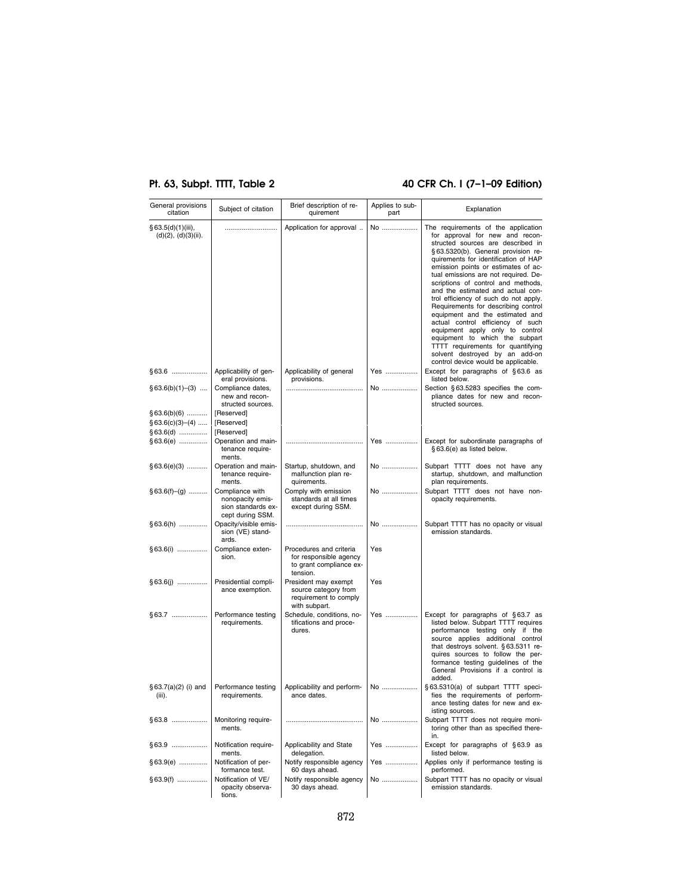# **Pt. 63, Subpt. TTTT, Table 2 40 CFR Ch. I (7–1–09 Edition)**

| General provisions<br>citation                 | Subject of citation                                                           | Brief description of re-<br>quirement                                                    | Applies to sub-<br>part | Explanation                                                                                                                                                                                                                                                                                                                                                                                                                                                                                                                                                                                                                                                                                     |
|------------------------------------------------|-------------------------------------------------------------------------------|------------------------------------------------------------------------------------------|-------------------------|-------------------------------------------------------------------------------------------------------------------------------------------------------------------------------------------------------------------------------------------------------------------------------------------------------------------------------------------------------------------------------------------------------------------------------------------------------------------------------------------------------------------------------------------------------------------------------------------------------------------------------------------------------------------------------------------------|
| § 63.5(d)(1)(iii),<br>(d)(2), (d)(3)(ii).      |                                                                               | Application for approval                                                                 | No                      | The requirements of the application<br>for approval for new and recon-<br>structed sources are described in<br>§ 63.5320(b). General provision re-<br>quirements for identification of HAP<br>emission points or estimates of ac-<br>tual emissions are not required. De-<br>scriptions of control and methods,<br>and the estimated and actual con-<br>trol efficiency of such do not apply.<br>Requirements for describing control<br>equipment and the estimated and<br>actual control efficiency of such<br>equipment apply only to control<br>equipment to which the subpart<br>TTTT requirements for quantifying<br>solvent destroyed by an add-on<br>control device would be applicable. |
| §63.6                                          | Applicability of gen-<br>eral provisions.                                     | Applicability of general<br>provisions.                                                  | Yes                     | Except for paragraphs of §63.6 as<br>listed below.                                                                                                                                                                                                                                                                                                                                                                                                                                                                                                                                                                                                                                              |
| $§63.6(b)(1)–(3)$                              | Compliance dates,<br>new and recon-<br>structed sources.                      |                                                                                          | No                      | Section §63.5283 specifies the com-<br>pliance dates for new and recon-<br>structed sources.                                                                                                                                                                                                                                                                                                                                                                                                                                                                                                                                                                                                    |
| $§63.6(b)(6)$<br>$§63.6(c)(3)–(4)$<br>§63.6(d) | [Reserved]<br>[Reserved]<br>[Reserved]                                        |                                                                                          |                         |                                                                                                                                                                                                                                                                                                                                                                                                                                                                                                                                                                                                                                                                                                 |
| §63.6(e)                                       | Operation and main-<br>tenance require-<br>ments.                             |                                                                                          | Yes                     | Except for subordinate paragraphs of<br>§63.6(e) as listed below.                                                                                                                                                                                                                                                                                                                                                                                                                                                                                                                                                                                                                               |
| $§63.6(e)(3)$                                  | Operation and main-<br>tenance require-<br>ments.                             | Startup, shutdown, and<br>malfunction plan re-<br>quirements.                            | No                      | Subpart TTTT does not have any<br>startup, shutdown, and malfunction<br>plan requirements.                                                                                                                                                                                                                                                                                                                                                                                                                                                                                                                                                                                                      |
| $§ 63.6(f)–(g)$                                | Compliance with<br>nonopacity emis-<br>sion standards ex-<br>cept during SSM. | Comply with emission<br>standards at all times<br>except during SSM.                     | No                      | Subpart TTTT does not have non-<br>opacity requirements.                                                                                                                                                                                                                                                                                                                                                                                                                                                                                                                                                                                                                                        |
| §63.6(h)                                       | Opacity/visible emis-<br>sion (VE) stand-<br>ards.                            |                                                                                          | No                      | Subpart TTTT has no opacity or visual<br>emission standards.                                                                                                                                                                                                                                                                                                                                                                                                                                                                                                                                                                                                                                    |
| § 63.6(i)                                      | Compliance exten-<br>sion.                                                    | Procedures and criteria<br>for responsible agency<br>to grant compliance ex-<br>tension. | Yes                     |                                                                                                                                                                                                                                                                                                                                                                                                                                                                                                                                                                                                                                                                                                 |
| § 63.6(j)                                      | Presidential compli-<br>ance exemption.                                       | President may exempt<br>source category from<br>requirement to comply<br>with subpart.   | Yes                     |                                                                                                                                                                                                                                                                                                                                                                                                                                                                                                                                                                                                                                                                                                 |
| §63.7                                          | Performance testing<br>requirements.                                          | Schedule, conditions, no-<br>tifications and proce-<br>dures.                            | Yes ………………              | Except for paragraphs of §63.7 as<br>listed below. Subpart TTTT requires<br>performance testing only if the<br>source applies additional control<br>that destroys solvent. §63.5311 re-<br>quires sources to follow the per-<br>formance testing guidelines of the<br>General Provisions if a control is<br>added.                                                                                                                                                                                                                                                                                                                                                                              |
| $§63.7(a)(2)$ (i) and<br>(iii).                | Performance testing<br>requirements.                                          | Applicability and perform-<br>ance dates.                                                | No                      | § 63.5310(a) of subpart TTTT speci-<br>fies the requirements of perform-<br>ance testing dates for new and ex-<br>isting sources.                                                                                                                                                                                                                                                                                                                                                                                                                                                                                                                                                               |
| §63.8                                          | Monitoring require-<br>ments.                                                 |                                                                                          | No                      | Subpart TTTT does not require moni-<br>toring other than as specified there-<br>in.                                                                                                                                                                                                                                                                                                                                                                                                                                                                                                                                                                                                             |
| §63.9                                          | Notification require-<br>ments.                                               | Applicability and State<br>delegation.                                                   | Yes                     | Except for paragraphs of §63.9 as<br>listed below.                                                                                                                                                                                                                                                                                                                                                                                                                                                                                                                                                                                                                                              |
| §63.9(e)                                       | Notification of per-<br>formance test.                                        | Notify responsible agency<br>60 days ahead.                                              | Yes                     | Applies only if performance testing is<br>performed.                                                                                                                                                                                                                                                                                                                                                                                                                                                                                                                                                                                                                                            |
| §63.9(f)                                       | Notification of VE/<br>opacity observa-<br>tions.                             | Notify responsible agency<br>30 days ahead.                                              | No                      | Subpart TTTT has no opacity or visual<br>emission standards.                                                                                                                                                                                                                                                                                                                                                                                                                                                                                                                                                                                                                                    |